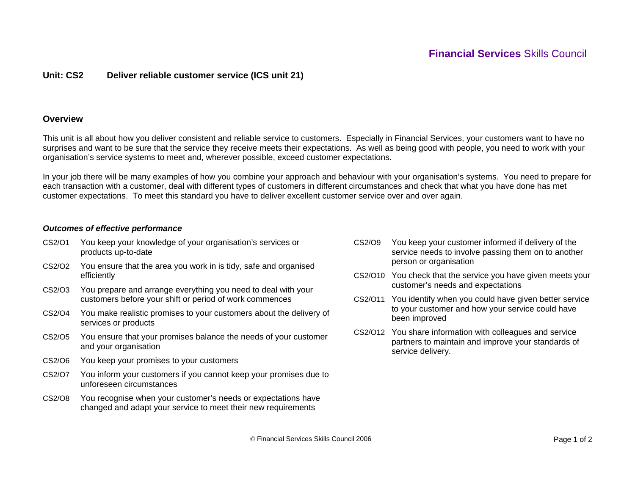## **Unit: CS2 Deliver reliable customer service (ICS unit 21)**

### **Overview**

This unit is all about how you deliver consistent and reliable service to customers. Especially in Financial Services, your customers want to have no surprises and want to be sure that the service they receive meets their expectations. As well as being good with people, you need to work with your organisation's service systems to meet and, wherever possible, exceed customer expectations.

In your job there will be many examples of how you combine your approach and behaviour with your organisation's systems. You need to prepare for each transaction with a customer, deal with different types of customers in different circumstances and check that what you have done has met customer expectations. To meet this standard you have to deliver excellent customer service over and over again.

### *Outcomes of effective performance*

- CS2/O1 You keep your knowledge of your organisation's services or products up-to-date
- CS2/O2 You ensure that the area you work in is tidy, safe and organised efficiently
- CS2/O3 You prepare and arrange everything you need to deal with your customers before your shift or period of work commences
- CS2/O4 You make realistic promises to your customers about the delivery of services or products
- CS2/O5 You ensure that your promises balance the needs of your customer and your organisation
- CS2/O6 You keep your promises to your customers
- CS2/O7 You inform your customers if you cannot keep your promises due to unforeseen circumstances
- CS2/O8 You recognise when your customer's needs or expectations have changed and adapt your service to meet their new requirements
- CS2/O9 You keep your customer informed if delivery of the service needs to involve passing them on to another person or organisation
- CS2/O10 You check that the service you have given meets your customer's needs and expectations
- CS2/O11 You identify when you could have given better service to your customer and how your service could have been improved
- CS2/O12 You share information with colleagues and service partners to maintain and improve your standards of service delivery.